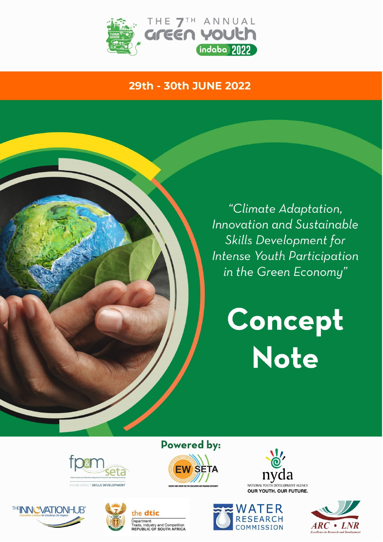

# 29th - 30th JUNE 2022

"Climate Adaptation, **Innovation and Sustainable** Skills Development for Intense Youth Participation in the Green Economy"

> Concept Note







the dtic Department:

Department:<br>Trade, Industry and Competition<br>**REPUBLIC OF SOUTH AFRICA** 









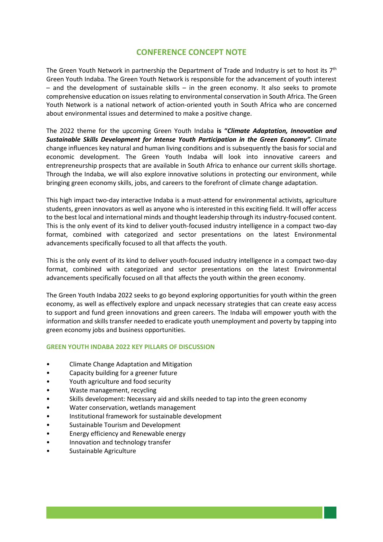# **CONFERENCE CONCEPT NOTE**

The Green Youth Network in partnership the Department of Trade and Industry is set to host its  $7<sup>th</sup>$ Green Youth Indaba. The Green Youth Network is responsible for the advancement of youth interest – and the development of sustainable skills – in the green economy. It also seeks to promote comprehensive education on issues relating to environmental conservation in South Africa. The Green Youth Network is a national network of action-oriented youth in South Africa who are concerned about environmental issues and determined to make a positive change.

The 2022 theme for the upcoming Green Youth Indaba **is "***Climate Adaptation, Innovation and Sustainable Skills Development for Intense Youth Participation in the Green Economy".* Climate change influences key natural and human living conditions and is subsequently the basis for social and economic development. The Green Youth Indaba will look into innovative careers and entrepreneurship prospects that are available in South Africa to enhance our current skills shortage. Through the Indaba, we will also explore innovative solutions in protecting our environment, while bringing green economy skills, jobs, and careers to the forefront of climate change adaptation.

This high impact two-day interactive Indaba is a must-attend for environmental activists, agriculture students, green innovators as well as anyone who is interested in this exciting field. It will offer access to the best local and international minds and thought leadership through its industry-focused content. This is the only event of its kind to deliver youth-focused industry intelligence in a compact two-day format, combined with categorized and sector presentations on the latest Environmental advancements specifically focused to all that affects the youth.

This is the only event of its kind to deliver youth-focused industry intelligence in a compact two-day format, combined with categorized and sector presentations on the latest Environmental advancements specifically focused on all that affects the youth within the green economy.

The Green Youth Indaba 2022 seeks to go beyond exploring opportunities for youth within the green economy, as well as effectively explore and unpack necessary strategies that can create easy access to support and fund green innovations and green careers. The Indaba will empower youth with the information and skills transfer needed to eradicate youth unemployment and poverty by tapping into green economy jobs and business opportunities.

# **GREEN YOUTH INDABA 2022 KEY PILLARS OF DISCUSSION**

- Climate Change Adaptation and Mitigation
- Capacity building for a greener future
- Youth agriculture and food security
- Waste management, recycling
- Skills development: Necessary aid and skills needed to tap into the green economy
- Water conservation, wetlands management
- Institutional framework for sustainable development
- Sustainable Tourism and Development
- Energy efficiency and Renewable energy
- Innovation and technology transfer
- Sustainable Agriculture